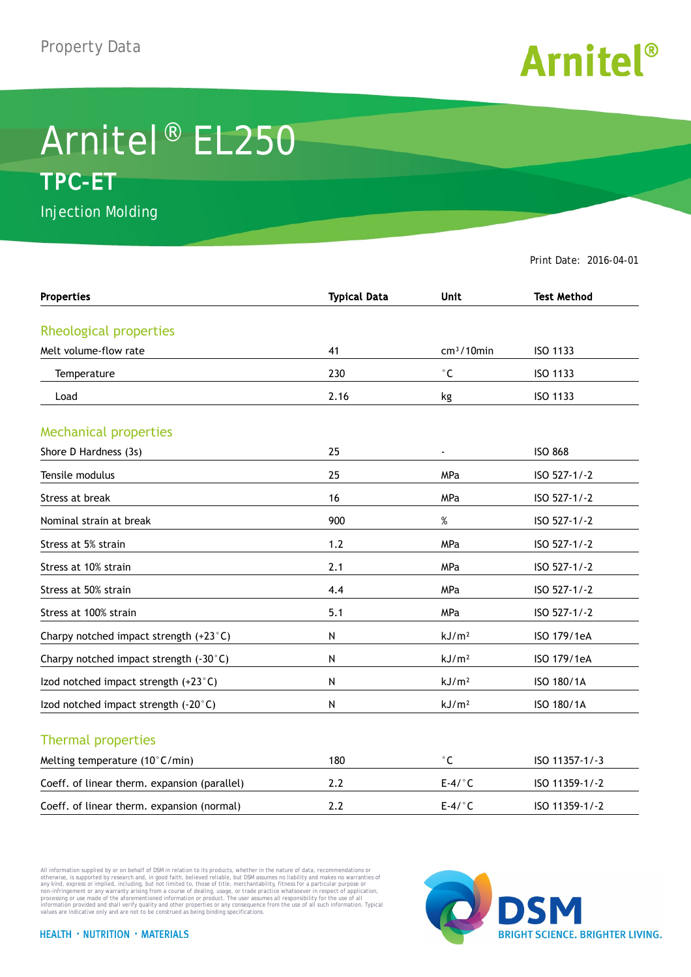

## Arnitel® EL250 **TPC-ET**

Injection Molding

Print Date: 2016-04-01

| <b>Properties</b>                            | <b>Typical Data</b> | <b>Unit</b>       | <b>Test Method</b> |
|----------------------------------------------|---------------------|-------------------|--------------------|
|                                              |                     |                   |                    |
| Rheological properties                       |                     |                   |                    |
| Melt volume-flow rate                        | 41                  | $cm3/10$ min      | ISO 1133           |
| Temperature                                  | 230                 | $^{\circ}$ C      | ISO 1133           |
| Load                                         | 2.16                | kg                | ISO 1133           |
| <b>Mechanical properties</b>                 |                     |                   |                    |
| Shore D Hardness (3s)                        | 25                  |                   | <b>ISO 868</b>     |
| Tensile modulus                              | 25                  | MPa               | ISO 527-1/-2       |
| Stress at break                              | 16                  | <b>MPa</b>        | ISO 527-1/-2       |
| Nominal strain at break                      | 900                 | $\%$              | ISO 527-1/-2       |
| Stress at 5% strain                          | 1.2                 | <b>MPa</b>        | ISO 527-1/-2       |
| Stress at 10% strain                         | 2.1                 | MPa               | ISO 527-1/-2       |
| Stress at 50% strain                         | 4.4                 | MPa               | ISO 527-1/-2       |
| Stress at 100% strain                        | 5.1                 | MPa               | ISO 527-1/-2       |
| Charpy notched impact strength (+23°C)       | Ν                   | kJ/m <sup>2</sup> | ISO 179/1eA        |
| Charpy notched impact strength (-30°C)       | Ν                   | kJ/m <sup>2</sup> | ISO 179/1eA        |
| Izod notched impact strength (+23°C)         | Ν                   | kJ/m <sup>2</sup> | ISO 180/1A         |
| Izod notched impact strength (-20°C)         | Ν                   | kJ/m <sup>2</sup> | ISO 180/1A         |
| <b>Thermal properties</b>                    |                     |                   |                    |
| Melting temperature (10°C/min)               | 180                 | $^{\circ}$ C      | ISO 11357-1/-3     |
| Coeff. of linear therm. expansion (parallel) | 2.2                 | $E-4/°C$          | ISO 11359-1/-2     |
| Coeff. of linear therm. expansion (normal)   | 2.2                 | $E-4/°C$          | ISO 11359-1/-2     |

All information supplied by or on behalf of DSM in relation to its products, whether in the nature of data, recommendations or others in the matter of the order or the matter of the commendations or others in any kind, exp